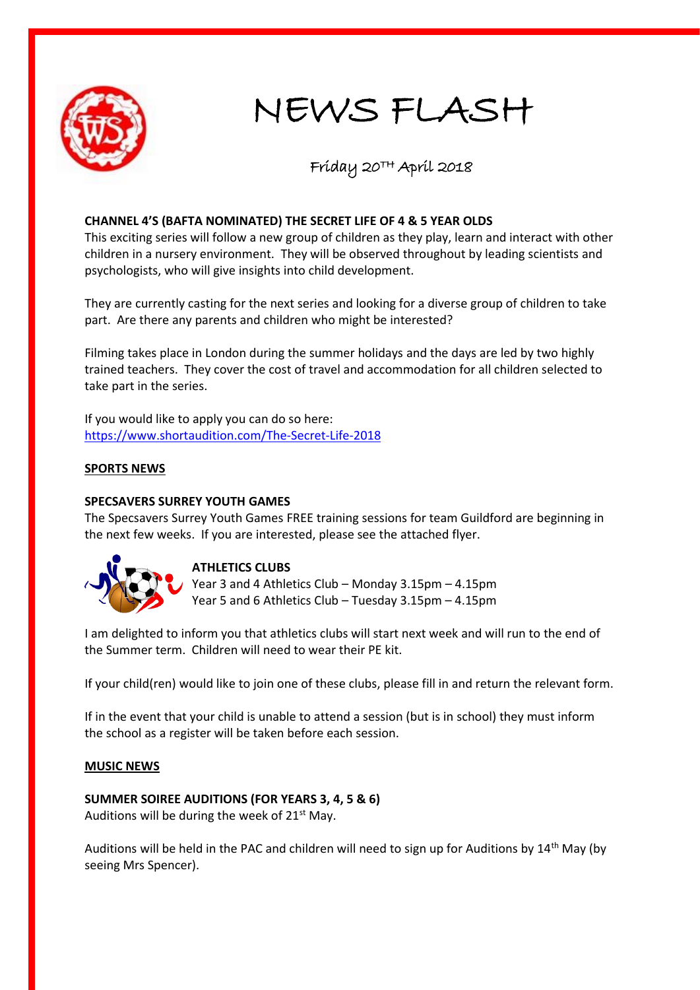

# NEWS FLASH

### Friday 20TH April 2018

#### **CHANNEL 4'S (BAFTA NOMINATED) THE SECRET LIFE OF 4 & 5 YEAR OLDS**

This exciting series will follow a new group of children as they play, learn and interact with other children in a nursery environment. They will be observed throughout by leading scientists and psychologists, who will give insights into child development.

They are currently casting for the next series and looking for a diverse group of children to take part. Are there any parents and children who might be interested?

Filming takes place in London during the summer holidays and the days are led by two highly trained teachers. They cover the cost of travel and accommodation for all children selected to take part in the series.

If you would like to apply you can do so here: <https://www.shortaudition.com/The-Secret-Life-2018>

#### **SPORTS NEWS**

#### **SPECSAVERS SURREY YOUTH GAMES**

The Specsavers Surrey Youth Games FREE training sessions for team Guildford are beginning in the next few weeks. If you are interested, please see the attached flyer.



#### **ATHLETICS CLUBS**

Year 3 and 4 Athletics Club – Monday 3.15pm – 4.15pm Year 5 and 6 Athletics Club – Tuesday 3.15pm – 4.15pm

I am delighted to inform you that athletics clubs will start next week and will run to the end of the Summer term. Children will need to wear their PE kit.

If your child(ren) would like to join one of these clubs, please fill in and return the relevant form.

If in the event that your child is unable to attend a session (but is in school) they must inform the school as a register will be taken before each session.

#### **MUSIC NEWS**

#### **SUMMER SOIREE AUDITIONS (FOR YEARS 3, 4, 5 & 6)**

Auditions will be during the week of  $21<sup>st</sup>$  May.

Auditions will be held in the PAC and children will need to sign up for Auditions by  $14<sup>th</sup>$  May (by seeing Mrs Spencer).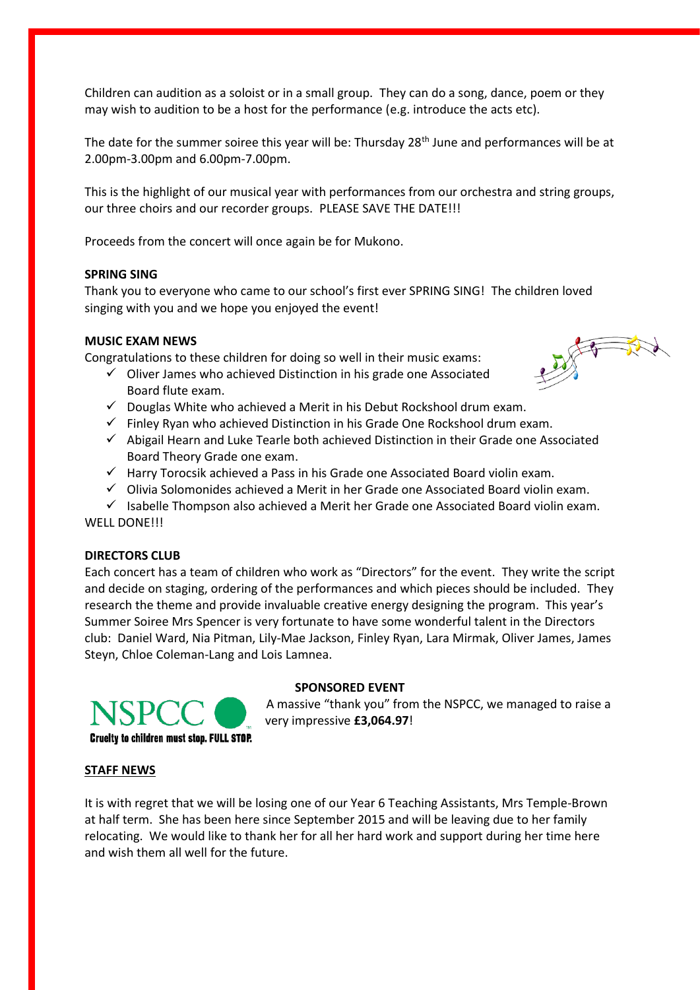Children can audition as a soloist or in a small group. They can do a song, dance, poem or they may wish to audition to be a host for the performance (e.g. introduce the acts etc).

The date for the summer soiree this year will be: Thursday 28<sup>th</sup> June and performances will be at 2.00pm-3.00pm and 6.00pm-7.00pm.

This is the highlight of our musical year with performances from our orchestra and string groups, our three choirs and our recorder groups. PLEASE SAVE THE DATE!!!

Proceeds from the concert will once again be for Mukono.

#### **SPRING SING**

Thank you to everyone who came to our school's first ever SPRING SING! The children loved singing with you and we hope you enjoyed the event!

#### **MUSIC EXAM NEWS**

Congratulations to these children for doing so well in their music exams:

- $\checkmark$  Oliver James who achieved Distinction in his grade one Associated Board flute exam.
- $\checkmark$  Douglas White who achieved a Merit in his Debut Rockshool drum exam.
- $\checkmark$  Finley Ryan who achieved Distinction in his Grade One Rockshool drum exam.
- $\checkmark$  Abigail Hearn and Luke Tearle both achieved Distinction in their Grade one Associated Board Theory Grade one exam.
- $\checkmark$  Harry Torocsik achieved a Pass in his Grade one Associated Board violin exam.
- $\checkmark$  Olivia Solomonides achieved a Merit in her Grade one Associated Board violin exam.
- $\checkmark$  Isabelle Thompson also achieved a Merit her Grade one Associated Board violin exam. WELL DONE!!!

#### **DIRECTORS CLUB**

Each concert has a team of children who work as "Directors" for the event. They write the script and decide on staging, ordering of the performances and which pieces should be included. They research the theme and provide invaluable creative energy designing the program. This year's Summer Soiree Mrs Spencer is very fortunate to have some wonderful talent in the Directors club: Daniel Ward, Nia Pitman, Lily-Mae Jackson, Finley Ryan, Lara Mirmak, Oliver James, James Steyn, Chloe Coleman-Lang and Lois Lamnea.

## **SPONSORED EVENT**

 A massive "thank you" from the NSPCC, we managed to raise a very impressive **£3,064.97**!

#### **STAFF NEWS**

It is with regret that we will be losing one of our Year 6 Teaching Assistants, Mrs Temple-Brown at half term. She has been here since September 2015 and will be leaving due to her family relocating. We would like to thank her for all her hard work and support during her time here and wish them all well for the future.